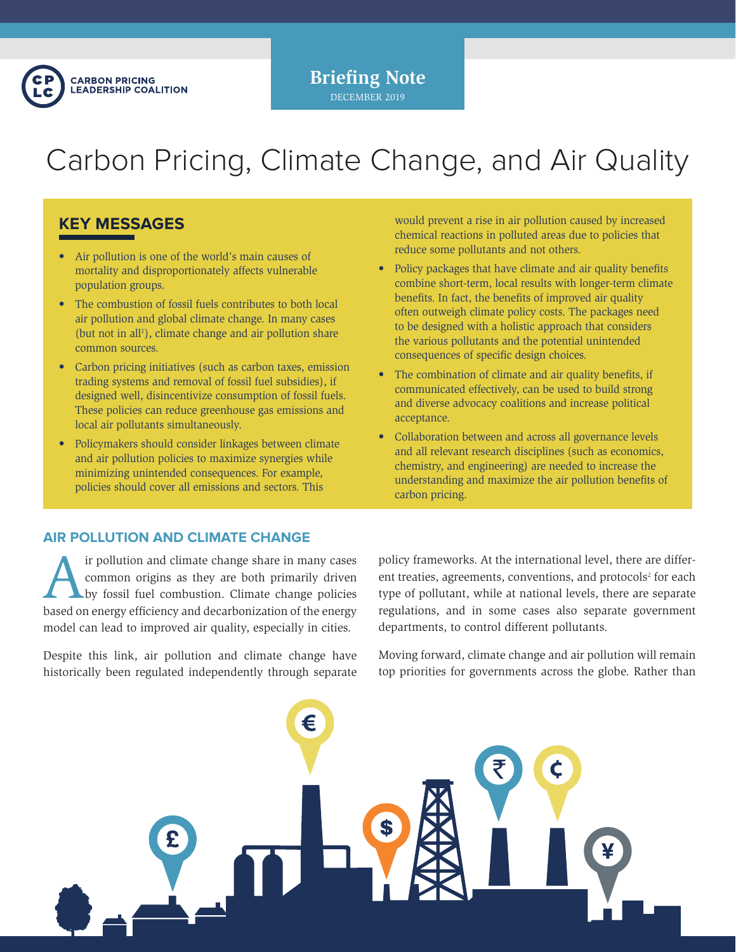

**Briefing Note** DECEMBER 2019

# Carbon Pricing, Climate Change, and Air Quality

# **KEY MESSAGES**

- Air pollution is one of the world's main causes of mortality and disproportionately affects vulnerable population groups.
- The combustion of fossil fuels contributes to both local air pollution and global climate change. In many cases (but not in all<sup>1</sup>), climate change and air pollution share common sources.
- Carbon pricing initiatives (such as carbon taxes, emission trading systems and removal of fossil fuel subsidies), if designed well, disincentivize consumption of fossil fuels. These policies can reduce greenhouse gas emissions and local air pollutants simultaneously.
- Policymakers should consider linkages between climate and air pollution policies to maximize synergies while minimizing unintended consequences. For example, policies should cover all emissions and sectors. This

would prevent a rise in air pollution caused by increased chemical reactions in polluted areas due to policies that reduce some pollutants and not others.

- Policy packages that have climate and air quality benefits combine short-term, local results with longer-term climate benefits. In fact, the benefits of improved air quality often outweigh climate policy costs. The packages need to be designed with a holistic approach that considers the various pollutants and the potential unintended consequences of specific design choices.
- The combination of climate and air quality benefits, if communicated effectively, can be used to build strong and diverse advocacy coalitions and increase political acceptance.
- Collaboration between and across all governance levels and all relevant research disciplines (such as economics, chemistry, and engineering) are needed to increase the understanding and maximize the air pollution benefits of carbon pricing.

## **AIR POLLUTION AND CLIMATE CHANGE**

If pollution and climate change share in many cases<br>common origins as they are both primarily driven<br>by fossil fuel combustion. Climate change policies<br>based on onergy officiency and decarbonization of the energy common origins as they are both primarily driven by fossil fuel combustion. Climate change policies based on energy efficiency and decarbonization of the energy model can lead to improved air quality, especially in cities.

Despite this link, air pollution and climate change have historically been regulated independently through separate

policy frameworks. At the international level, there are different treaties, agreements, conventions, and protocols<sup>2</sup> for each type of pollutant, while at national levels, there are separate regulations, and in some cases also separate government departments, to control different pollutants.

Moving forward, climate change and air pollution will remain top priorities for governments across the globe. Rather than

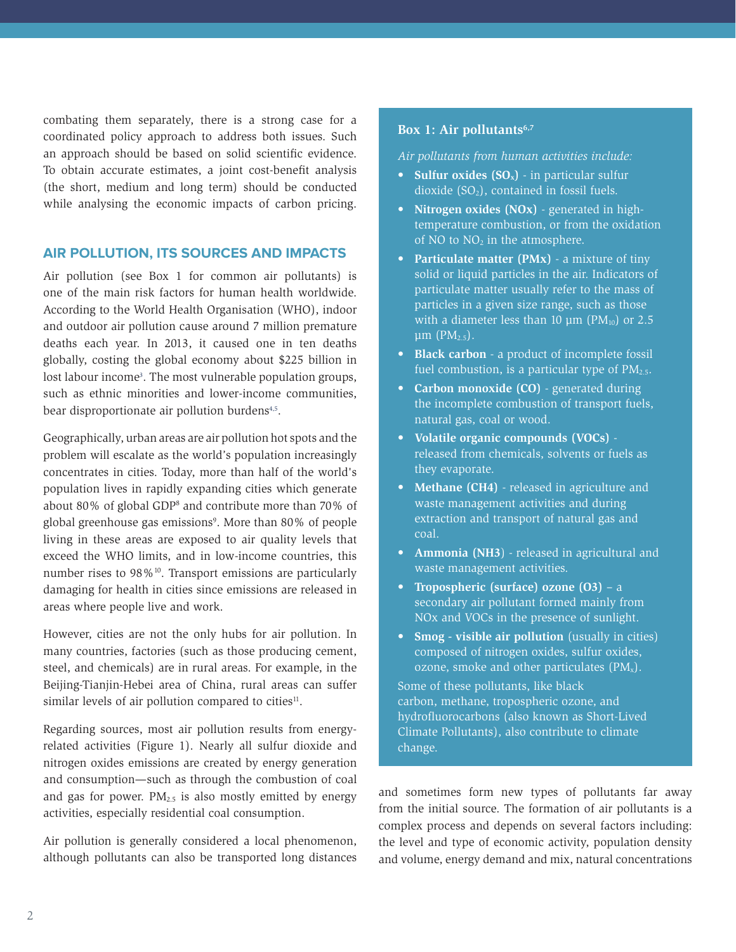combating them separately, there is a strong case for a coordinated policy approach to address both issues. Such an approach should be based on solid scientific evidence. To obtain accurate estimates, a joint cost-benefit analysis (the short, medium and long term) should be conducted while analysing the economic impacts of carbon pricing.

## **AIR POLLUTION, ITS SOURCES AND IMPACTS**

Air pollution (see Box 1 for common air pollutants) is one of the main risk factors for human health worldwide. According to the World Health Organisation (WHO), indoor and outdoor air pollution cause around 7 million premature deaths each year. In 2013, it caused one in ten deaths globally, costing the global economy about \$225 billion in lost labour income<sup>3</sup>. The most vulnerable population groups, such as ethnic minorities and lower-income communities, bear disproportionate air pollution burdens<sup>4,5</sup>.

Geographically, urban areas are air pollution hot spots and the problem will escalate as the world's population increasingly concentrates in cities. Today, more than half of the world's population lives in rapidly expanding cities which generate about 80% of global GDP<sup>8</sup> and contribute more than 70% of global greenhouse gas emissions<sup>9</sup>. More than 80% of people living in these areas are exposed to air quality levels that exceed the WHO limits, and in low-income countries, this number rises to 98%<sup>10</sup>. Transport emissions are particularly damaging for health in cities since emissions are released in areas where people live and work.

However, cities are not the only hubs for air pollution. In many countries, factories (such as those producing cement, steel, and chemicals) are in rural areas. For example, in the Beijing-Tianjin-Hebei area of China, rural areas can suffer similar levels of air pollution compared to cities<sup>11</sup>.

Regarding sources, most air pollution results from energyrelated activities (Figure 1). Nearly all sulfur dioxide and nitrogen oxides emissions are created by energy generation and consumption—such as through the combustion of coal and gas for power.  $PM_{2.5}$  is also mostly emitted by energy activities, especially residential coal consumption.

Air pollution is generally considered a local phenomenon, although pollutants can also be transported long distances

#### **Box 1: Air pollutants6,7**

*Air pollutants from human activities include:*

- **Sulfur oxides (SO<sub>x</sub>)** in particular sulfur dioxide  $(SO<sub>2</sub>)$ , contained in fossil fuels.
- **• Nitrogen oxides (NOx)**  generated in hightemperature combustion, or from the oxidation of NO to  $NO<sub>2</sub>$  in the atmosphere.
- **• Particulate matter (PMx)** a mixture of tiny solid or liquid particles in the air. Indicators of particulate matter usually refer to the mass of particles in a given size range, such as those with a diameter less than 10  $\mu$ m (PM<sub>10</sub>) or 2.5 μm  $(PM<sub>2.5</sub>)$ .
- **• Black carbon**  a product of incomplete fossil fuel combustion, is a particular type of  $PM_{2.5}$ .
- **• Carbon monoxide (CO)**  generated during the incomplete combustion of transport fuels, natural gas, coal or wood.
- **• Volatile organic compounds (VOCs)** released from chemicals, solvents or fuels as they evaporate.
- **• Methane (CH4)** released in agriculture and waste management activities and during extraction and transport of natural gas and coal.
- **• Ammonia (NH3**) released in agricultural and waste management activities.
- **• Tropospheric (surface) ozone (O3)** a secondary air pollutant formed mainly from NOx and VOCs in the presence of sunlight.
- **Smog visible air pollution** (usually in cities) composed of nitrogen oxides, sulfur oxides, ozone, smoke and other particulates  $(PM_x)$ .

Some of these pollutants, like black carbon, methane, tropospheric ozone, and hydrofluorocarbons (also known as Short-Lived Climate Pollutants), also contribute to climate change.

and sometimes form new types of pollutants far away from the initial source. The formation of air pollutants is a complex process and depends on several factors including: the level and type of economic activity, population density and volume, energy demand and mix, natural concentrations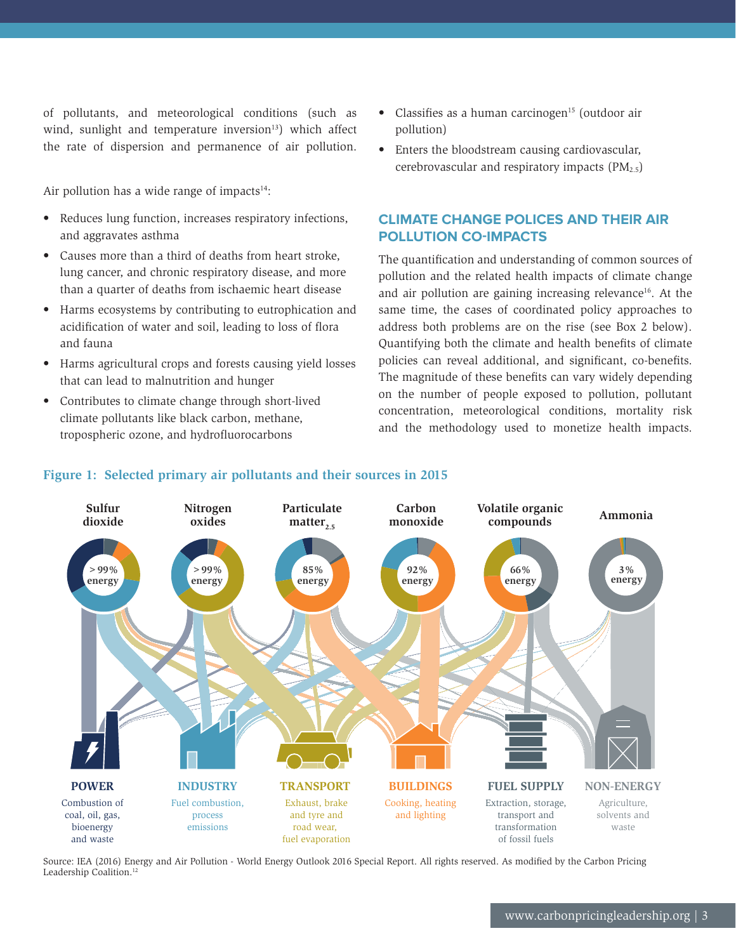of pollutants, and meteorological conditions (such as wind, sunlight and temperature inversion $13$ ) which affect the rate of dispersion and permanence of air pollution.

Air pollution has a wide range of impacts $14$ :

- Reduces lung function, increases respiratory infections, and aggravates asthma
- Causes more than a third of deaths from heart stroke, lung cancer, and chronic respiratory disease, and more than a quarter of deaths from ischaemic heart disease
- Harms ecosystems by contributing to eutrophication and acidification of water and soil, leading to loss of flora and fauna
- Harms agricultural crops and forests causing yield losses that can lead to malnutrition and hunger
- Contributes to climate change through short-lived climate pollutants like black carbon, methane, tropospheric ozone, and hydrofluorocarbons
- $\bullet$  Classifies as a human carcinogen<sup>15</sup> (outdoor air pollution)
- Enters the bloodstream causing cardiovascular, cerebrovascular and respiratory impacts  $(PM_{2.5})$

# **CLIMATE CHANGE POLICES AND THEIR AIR POLLUTION CO-IMPACTS**

The quantification and understanding of common sources of pollution and the related health impacts of climate change and air pollution are gaining increasing relevance<sup>16</sup>. At the same time, the cases of coordinated policy approaches to address both problems are on the rise (see Box 2 below). Quantifying both the climate and health benefits of climate policies can reveal additional, and significant, co-benefits. The magnitude of these benefits can vary widely depending on the number of people exposed to pollution, pollutant concentration, meteorological conditions, mortality risk and the methodology used to monetize health impacts.



# **Figure 1: Selected primary air pollutants and their sources in 2015**

Source: IEA (2016) Energy and Air Pollution - World Energy Outlook 2016 Special Report. All rights reserved. As modified by the Carbon Pricing Leadership Coalition.<sup>12</sup>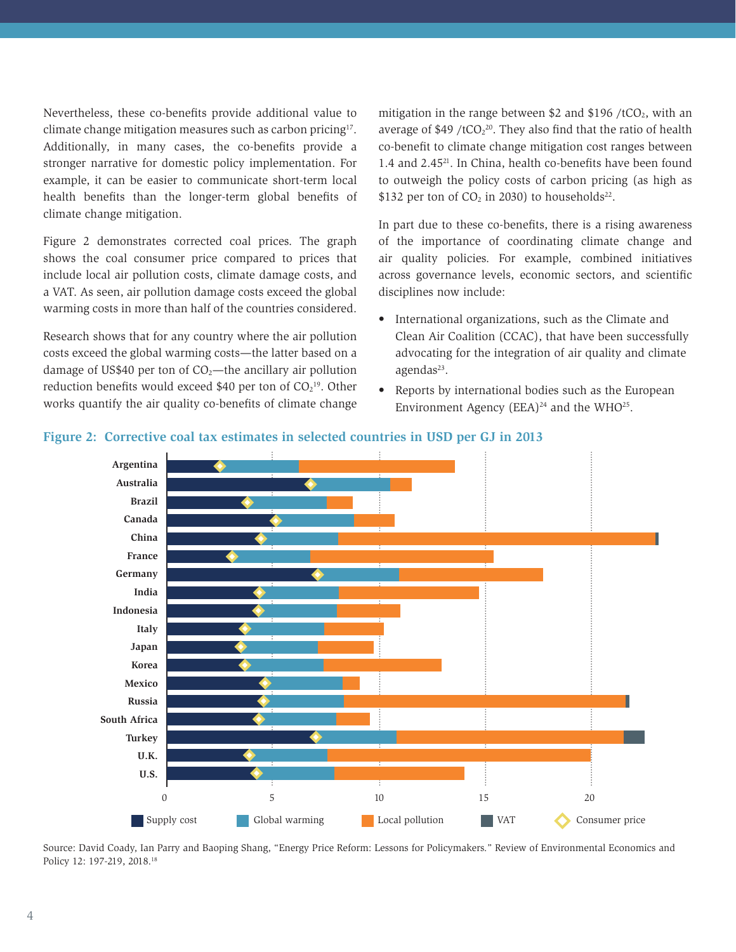Nevertheless, these co-benefits provide additional value to climate change mitigation measures such as carbon pricing<sup>17</sup>. Additionally, in many cases, the co-benefits provide a stronger narrative for domestic policy implementation. For example, it can be easier to communicate short-term local health benefits than the longer-term global benefits of climate change mitigation.

Figure 2 demonstrates corrected coal prices. The graph shows the coal consumer price compared to prices that include local air pollution costs, climate damage costs, and a VAT. As seen, air pollution damage costs exceed the global warming costs in more than half of the countries considered.

Research shows that for any country where the air pollution costs exceed the global warming costs—the latter based on a damage of US\$40 per ton of  $CO<sub>2</sub>$ —the ancillary air pollution reduction benefits would exceed \$40 per ton of  $CO<sub>2</sub><sup>19</sup>$ . Other works quantify the air quality co-benefits of climate change

mitigation in the range between \$2 and \$196 /tCO<sub>2</sub>, with an average of  $$49 / tCO<sub>2</sub><sup>20</sup>$ . They also find that the ratio of health co-benefit to climate change mitigation cost ranges between 1.4 and 2.45<sup>21</sup>. In China, health co-benefits have been found to outweigh the policy costs of carbon pricing (as high as \$132 per ton of  $CO<sub>2</sub>$  in 2030) to households<sup>22</sup>.

In part due to these co-benefits, there is a rising awareness of the importance of coordinating climate change and air quality policies. For example, combined initiatives across governance levels, economic sectors, and scientific disciplines now include:

- International organizations, such as the Climate and Clean Air Coalition (CCAC), that have been successfully advocating for the integration of air quality and climate  $a$ gendas<sup>23</sup>.
- Reports by international bodies such as the European Environment Agency (EEA)<sup>24</sup> and the WHO<sup>25</sup>.



#### **Figure 2: Corrective coal tax estimates in selected countries in USD per GJ in 2013**

Source: David Coady, Ian Parry and Baoping Shang, "Energy Price Reform: Lessons for Policymakers." Review of Environmental Economics and Policy 12: 197-219, 2018.18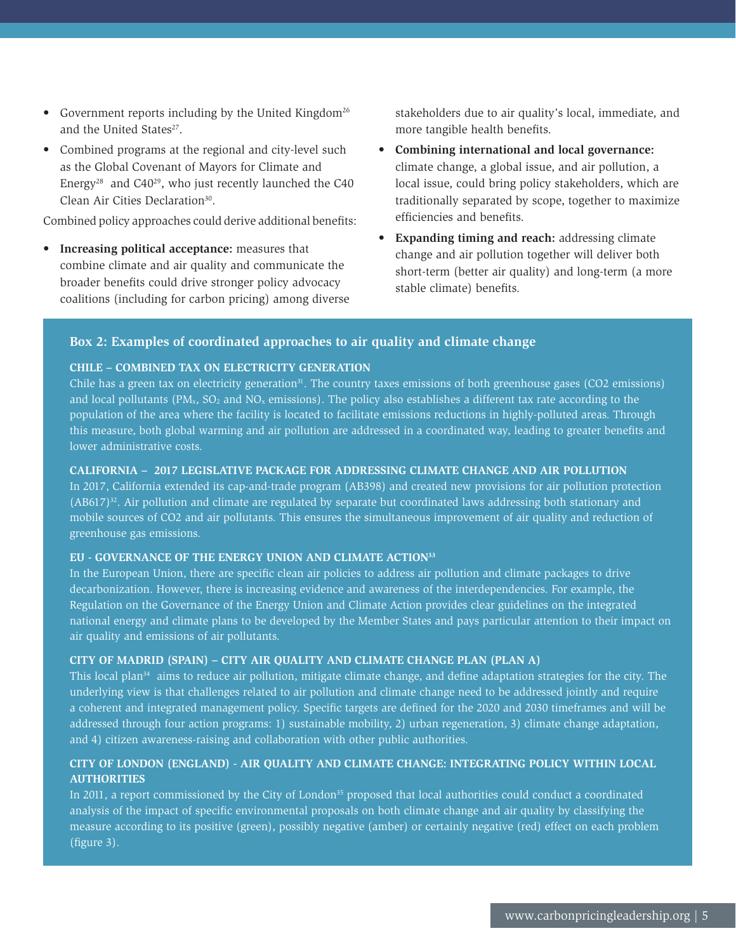- Government reports including by the United Kingdom<sup>26</sup> and the United States<sup>27</sup>.
- Combined programs at the regional and city-level such as the Global Covenant of Mayors for Climate and Energy<sup>28</sup> and C40<sup>29</sup>, who just recently launched the C40 Clean Air Cities Declaration<sup>30</sup>.

Combined policy approaches could derive additional benefits:

**• Increasing political acceptance:** measures that combine climate and air quality and communicate the broader benefits could drive stronger policy advocacy coalitions (including for carbon pricing) among diverse stakeholders due to air quality's local, immediate, and more tangible health benefits.

- **• Combining international and local governance:**  climate change, a global issue, and air pollution, a local issue, could bring policy stakeholders, which are traditionally separated by scope, together to maximize efficiencies and benefits.
- **• Expanding timing and reach:** addressing climate change and air pollution together will deliver both short-term (better air quality) and long-term (a more stable climate) benefits.

#### **Box 2: Examples of coordinated approaches to air quality and climate change**

## **CHILE – COMBINED TAX ON ELECTRICITY GENERATION**

Chile has a green tax on electricity generation<sup>31</sup>. The country taxes emissions of both greenhouse gases (CO2 emissions) and local pollutants (PM<sub>x</sub>, SO<sub>2</sub> and NO<sub>x</sub> emissions). The policy also establishes a different tax rate according to the population of the area where the facility is located to facilitate emissions reductions in highly-polluted areas. Through this measure, both global warming and air pollution are addressed in a coordinated way, leading to greater benefits and lower administrative costs.

#### **CALIFORNIA – 2017 LEGISLATIVE PACKAGE FOR ADDRESSING CLIMATE CHANGE AND AIR POLLUTION**

In 2017, California extended its cap-and-trade program (AB398) and created new provisions for air pollution protection (AB617)32. Air pollution and climate are regulated by separate but coordinated laws addressing both stationary and mobile sources of CO2 and air pollutants. This ensures the simultaneous improvement of air quality and reduction of greenhouse gas emissions.

#### **EU - GOVERNANCE OF THE ENERGY UNION AND CLIMATE ACTION33**

In the European Union, there are specific clean air policies to address air pollution and climate packages to drive decarbonization. However, there is increasing evidence and awareness of the interdependencies. For example, the Regulation on the Governance of the Energy Union and Climate Action provides clear guidelines on the integrated national energy and climate plans to be developed by the Member States and pays particular attention to their impact on air quality and emissions of air pollutants.

#### **CITY OF MADRID (SPAIN) – CITY AIR QUALITY AND CLIMATE CHANGE PLAN (PLAN A)**

This local plan $34$  aims to reduce air pollution, mitigate climate change, and define adaptation strategies for the city. The underlying view is that challenges related to air pollution and climate change need to be addressed jointly and require a coherent and integrated management policy. Specific targets are defined for the 2020 and 2030 timeframes and will be addressed through four action programs: 1) sustainable mobility, 2) urban regeneration, 3) climate change adaptation, and 4) citizen awareness-raising and collaboration with other public authorities.

## **CITY OF LONDON (ENGLAND) - AIR QUALITY AND CLIMATE CHANGE: INTEGRATING POLICY WITHIN LOCAL AUTHORITIES**

In 2011, a report commissioned by the City of London<sup>35</sup> proposed that local authorities could conduct a coordinated analysis of the impact of specific environmental proposals on both climate change and air quality by classifying the measure according to its positive (green), possibly negative (amber) or certainly negative (red) effect on each problem (figure 3).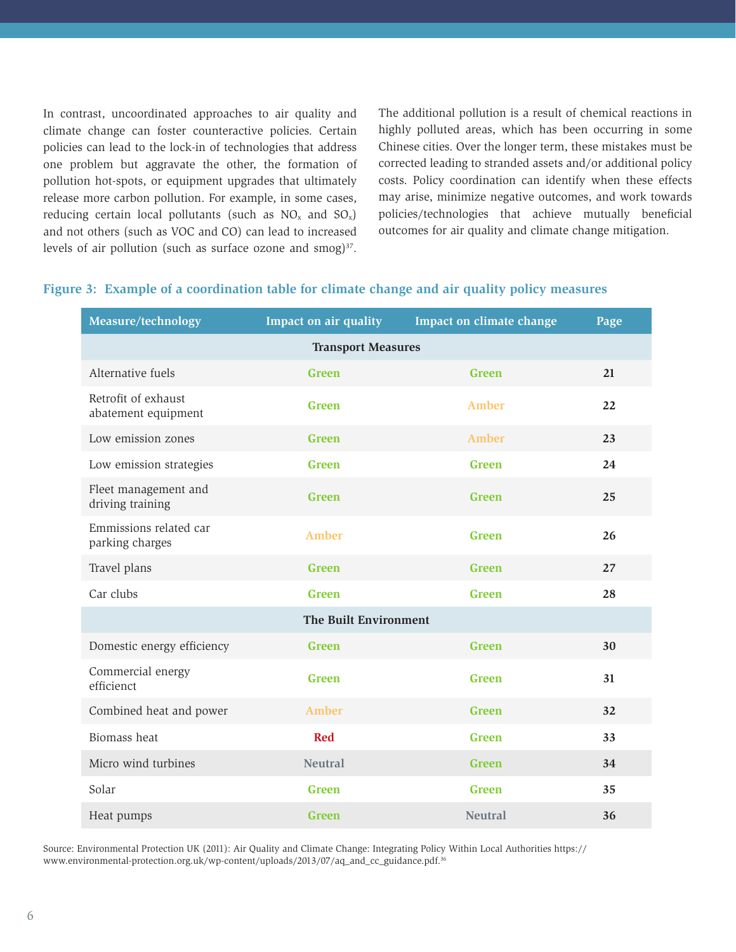In contrast, uncoordinated approaches to air quality and climate change can foster counteractive policies. Certain policies can lead to the lock-in of technologies that address one problem but aggravate the other, the formation of pollution hot-spots, or equipment upgrades that ultimately release more carbon pollution. For example, in some cases, reducing certain local pollutants (such as  $NO<sub>x</sub>$  and  $SO<sub>x</sub>$ ) and not others (such as VOC and CO) can lead to increased levels of air pollution (such as surface ozone and  $\text{smog}$ )<sup>37</sup>.

The additional pollution is a result of chemical reactions in highly polluted areas, which has been occurring in some Chinese cities. Over the longer term, these mistakes must be corrected leading to stranded assets and/or additional policy costs. Policy coordination can identify when these effects may arise, minimize negative outcomes, and work towards policies/technologies that achieve mutually beneficial outcomes for air quality and climate change mitigation.

| Measure/technology                         | Impact on air quality        | Impact on climate change | Page |
|--------------------------------------------|------------------------------|--------------------------|------|
| <b>Transport Measures</b>                  |                              |                          |      |
| Alternative fuels                          | Green                        | Green                    | 21   |
| Retrofit of exhaust<br>abatement equipment | <b>Green</b>                 | <b>Amber</b>             | 22   |
| Low emission zones                         | Green                        | <b>Amber</b>             | 23   |
| Low emission strategies                    | <b>Green</b>                 | <b>Green</b>             | 24   |
| Fleet management and<br>driving training   | Green                        | Green                    | 25   |
| Emmissions related car<br>parking charges  | <b>Amber</b>                 | <b>Green</b>             | 26   |
| Travel plans                               | Green                        | <b>Green</b>             | 27   |
| Car clubs                                  | Green                        | Green                    | 28   |
|                                            | <b>The Built Environment</b> |                          |      |
| Domestic energy efficiency                 | Green                        | Green                    | 30   |
| Commercial energy<br>efficienct            | Green                        | Green                    | 31   |
| Combined heat and power                    | <b>Amber</b>                 | Green                    | 32   |
| Biomass heat                               | <b>Red</b>                   | <b>Green</b>             | 33   |
| Micro wind turbines                        | <b>Neutral</b>               | Green                    | 34   |
| Solar                                      | <b>Green</b>                 | <b>Green</b>             | 35   |
| Heat pumps                                 | <b>Green</b>                 | <b>Neutral</b>           | 36   |

#### **Figure 3: Example of a coordination table for climate change and air quality policy measures**

Source: Environmental Protection UK (2011): Air Quality and Climate Change: Integrating Policy Within Local Authorities https:// www.environmental-protection.org.uk/wp-content/uploads/2013/07/aq\_and\_cc\_guidance.pdf.36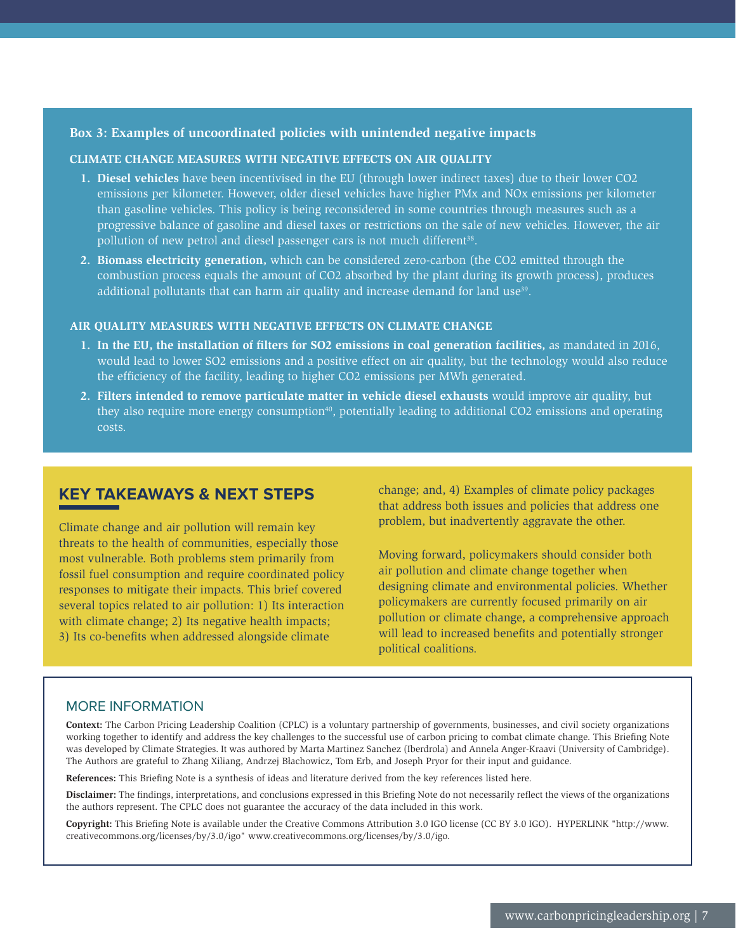## **Box 3: Examples of uncoordinated policies with unintended negative impacts**

#### **CLIMATE CHANGE MEASURES WITH NEGATIVE EFFECTS ON AIR QUALITY**

- **1. Diesel vehicles** have been incentivised in the EU (through lower indirect taxes) due to their lower CO2 emissions per kilometer. However, older diesel vehicles have higher PMx and NOx emissions per kilometer than gasoline vehicles. This policy is being reconsidered in some countries through measures such as a progressive balance of gasoline and diesel taxes or restrictions on the sale of new vehicles. However, the air pollution of new petrol and diesel passenger cars is not much different<sup>38</sup>.
- **2. Biomass electricity generation,** which can be considered zero-carbon (the CO2 emitted through the combustion process equals the amount of CO2 absorbed by the plant during its growth process), produces additional pollutants that can harm air quality and increase demand for land use<sup>39</sup>.

#### **AIR QUALITY MEASURES WITH NEGATIVE EFFECTS ON CLIMATE CHANGE**

- **1. In the EU, the installation of filters for SO2 emissions in coal generation facilities,** as mandated in 2016, would lead to lower SO2 emissions and a positive effect on air quality, but the technology would also reduce the efficiency of the facility, leading to higher CO2 emissions per MWh generated.
- **2. Filters intended to remove particulate matter in vehicle diesel exhausts** would improve air quality, but they also require more energy consumption<sup>40</sup>, potentially leading to additional CO2 emissions and operating costs.

# **KEY TAKEAWAYS & NEXT STEPS**

Climate change and air pollution will remain key threats to the health of communities, especially those most vulnerable. Both problems stem primarily from fossil fuel consumption and require coordinated policy responses to mitigate their impacts. This brief covered several topics related to air pollution: 1) Its interaction with climate change; 2) Its negative health impacts; 3) Its co-benefits when addressed alongside climate

change; and, 4) Examples of climate policy packages that address both issues and policies that address one problem, but inadvertently aggravate the other.

Moving forward, policymakers should consider both air pollution and climate change together when designing climate and environmental policies. Whether policymakers are currently focused primarily on air pollution or climate change, a comprehensive approach will lead to increased benefits and potentially stronger political coalitions.

#### MORE INFORMATION

**Context:** The Carbon Pricing Leadership Coalition (CPLC) is a voluntary partnership of governments, businesses, and civil society organizations working together to identify and address the key challenges to the successful use of carbon pricing to combat climate change. This Briefing Note was developed by Climate Strategies. It was authored by Marta Martinez Sanchez (Iberdrola) and Annela Anger-Kraavi (University of Cambridge). The Authors are grateful to Zhang Xiliang, Andrzej Błachowicz, Tom Erb, and Joseph Pryor for their input and guidance.

**References:** This Briefing Note is a synthesis of ideas and literature derived from the key references listed here.

**Disclaimer:** The findings, interpretations, and conclusions expressed in this Briefing Note do not necessarily reflect the views of the organizations the authors represent. The CPLC does not guarantee the accuracy of the data included in this work.

**Copyright:** This Briefing Note is available under the Creative Commons Attribution 3.0 IGO license (CC BY 3.0 IGO). HYPERLINK "http://www. creativecommons.org/licenses/by/3.0/igo" www.creativecommons.org/licenses/by/3.0/igo.